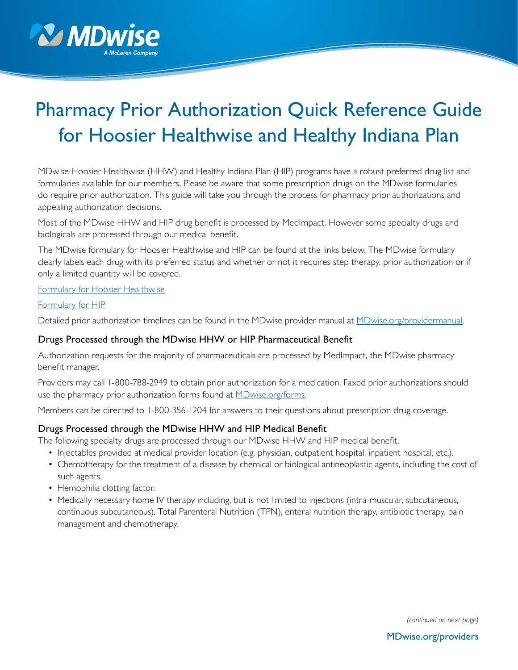

# Pharmacy Prior Authorization Quick Reference Guide for Hoosier Healthwise and Healthy Indiana Plan

MDwise Hoosier Healthwise (HHW) and Healthy Indiana Plan (HIP) programs have a robust preferred drug list and formularies available for our members. Please be aware that some prescription drugs on the MDwise formularies do require prior authorization. This guide will take you through the process for pharmacy prior authorizations and appealing authorization decisions.

Most of the MDwise HHW and HIP drug benefit is processed by MedImpact. However some specialty drugs and biologicals are processed through our medical benefit.

The MDwise formulary for Hoosier Healthwise and HIP can be found at the links below. The MDwise formulary clearly labels each drug with its preferred status and whether or not it requires step therapy, prior authorization or if only a limited quantity will be covered.

#### [Formulary for Hoosier Healthwise](http://www.mdwise.org/for-providers/pharmacy-resources/hoosier-healthwise/)

#### [Formulary for HIP](http://www.mdwise.org/for-providers/pharmacy-resources/healthy-indiana-plan/)

Detailed prior authorization timelines can be found in the MDwise provider manual at [MDwise.org/providermanual.](http://www.MDwise.org/providermanual)

#### Drugs Processed through the MDwise HHW or HIP Pharmaceutical Benefit

Authorization requests for the majority of pharmaceuticals are processed by MedImpact, the MDwise pharmacy benefit manager.

Providers may call 1-800-788-2949 to obtain prior authorization for a medication. Faxed prior authorizations should use the pharmacy prior authorization forms found at **MDwise.org/forms**.

Members can be directed to 1-800-356-1204 for answers to their questions about prescription drug coverage.

## Drugs Processed through the MDwise HHW and HIP Medical Benefit

The following specialty drugs are processed through our MDwise HHW and HIP medical benefit.

- Injectables provided at medical provider location (e.g. physician, outpatient hospital, inpatient hospital, etc.).
- Chemotherapy for the treatment of a disease by chemical or biological antineoplastic agents, including the cost of such agents.
- Hemophilia clotting factor.
- Medically necessary home IV therapy including, but is not limited to injections (intra-muscular, subcutaneous, continuous subcutaneous), Total Parenteral Nutrition (TPN), enteral nutrition therapy, antibiotic therapy, pain management and chemotherapy.

*(continued on next page)*